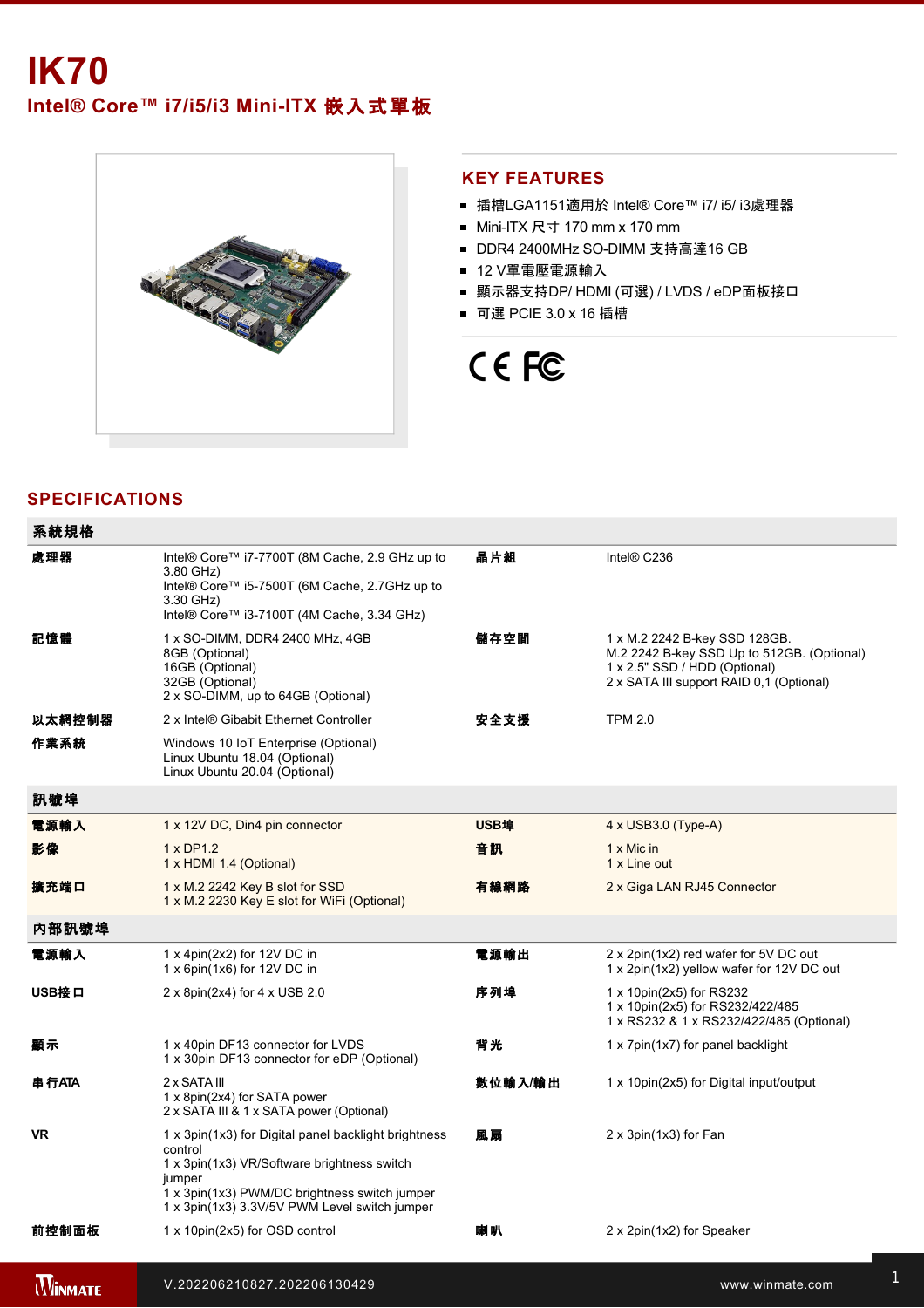# **IK70**

Intel® Core™ i7/i5/i3 Mini-ITX 嵌入式單板



### **KEY FEATURES**

- 插槽LGA1151適用於 Intel® Core™ i7/ i5/ i3處理器
- Mini-ITX 尺寸 170 mm x 170 mm
- DDR4 2400MHz SO-DIMM 支持高達16 GB
- 12 V單電壓電源輸入
- 顯示器支持DP/ HDMI (可選) / LVDS / eDP面板接口
- 可選 PCIE 3.0 x 16 插槽

# CE FC

# **SPECIFICATIONS**

<u>de la cerca de la cerca de la cerca de la cerca de la cerca de la cerca de la cerca de la cerca de la cerca d</u>

| 系統規格           |                                                                                                                                                                                                                            |         |                                                                                                                                                          |
|----------------|----------------------------------------------------------------------------------------------------------------------------------------------------------------------------------------------------------------------------|---------|----------------------------------------------------------------------------------------------------------------------------------------------------------|
| 處理器            | Intel® Core™ i7-7700T (8M Cache, 2.9 GHz up to<br>3.80 GHz)<br>Intel® Core™ i5-7500T (6M Cache, 2.7GHz up to<br>3.30 GHz)<br>Intel® Core™ i3-7100T (4M Cache, 3.34 GHz)                                                    | 晶片組     | Intel® C236                                                                                                                                              |
| 記憶體            | 1 x SO-DIMM, DDR4 2400 MHz, 4GB<br>8GB (Optional)<br>16GB (Optional)<br>32GB (Optional)<br>2 x SO-DIMM, up to 64GB (Optional)                                                                                              | 儲存空間    | 1 x M.2 2242 B-key SSD 128GB.<br>M.2 2242 B-key SSD Up to 512GB. (Optional)<br>1 x 2.5" SSD / HDD (Optional)<br>2 x SATA III support RAID 0,1 (Optional) |
| 以太網控制器         | 2 x Intel® Gibabit Ethernet Controller                                                                                                                                                                                     | 安全支援    | <b>TPM 2.0</b>                                                                                                                                           |
| 作業系統           | Windows 10 IoT Enterprise (Optional)<br>Linux Ubuntu 18.04 (Optional)<br>Linux Ubuntu 20.04 (Optional)                                                                                                                     |         |                                                                                                                                                          |
| 訊號埠            |                                                                                                                                                                                                                            |         |                                                                                                                                                          |
| 電源輸入           | 1 x 12V DC, Din4 pin connector                                                                                                                                                                                             | USB埠    | $4 \times$ USB3.0 (Type-A)                                                                                                                               |
| 影像             | $1 \times DP1.2$<br>1 x HDMI 1.4 (Optional)                                                                                                                                                                                | 音訊      | 1 x Mic in<br>1 x Line out                                                                                                                               |
| 擴充端口           | 1 x M.2 2242 Key B slot for SSD<br>1 x M.2 2230 Key E slot for WiFi (Optional)                                                                                                                                             | 有線網路    | 2 x Giga LAN RJ45 Connector                                                                                                                              |
| 內部訊號埠          |                                                                                                                                                                                                                            |         |                                                                                                                                                          |
| 電源輸入           | 1 x 4pin(2x2) for 12V DC in<br>1 x 6pin(1x6) for 12V DC in                                                                                                                                                                 | 電源輸出    | 2 x 2pin(1x2) red wafer for 5V DC out<br>1 x 2pin(1x2) yellow wafer for 12V DC out                                                                       |
| USB接口          | 2 x 8pin(2x4) for 4 x USB 2.0                                                                                                                                                                                              | 序列埠     | 1 x 10pin(2x5) for RS232<br>1 x 10pin(2x5) for RS232/422/485<br>1 x RS232 & 1 x RS232/422/485 (Optional)                                                 |
| 顯示             | 1 x 40pin DF13 connector for LVDS<br>1 x 30pin DF13 connector for eDP (Optional)                                                                                                                                           | 背光      | 1 x 7pin(1x7) for panel backlight                                                                                                                        |
| 串行ATA          | 2 x SATA III<br>1 x 8pin(2x4) for SATA power<br>2 x SATA III & 1 x SATA power (Optional)                                                                                                                                   | 數位輸入/輸出 | 1 x 10pin(2x5) for Digital input/output                                                                                                                  |
| <b>VR</b>      | 1 x 3pin(1x3) for Digital panel backlight brightness<br>control<br>1 x 3pin(1x3) VR/Software brightness switch<br>jumper<br>1 x 3pin(1x3) PWM/DC brightness switch jumper<br>1 x 3pin(1x3) 3.3V/5V PWM Level switch jumper | 風扇      | 2 x 3pin(1x3) for Fan                                                                                                                                    |
| 前控制面板          | 1 x 10pin(2x5) for OSD control                                                                                                                                                                                             | 喇叭      | 2 x 2pin(1x2) for Speaker                                                                                                                                |
| <b>WINMATE</b> | V.202206210827.202206130429                                                                                                                                                                                                |         | www.winmate.com                                                                                                                                          |